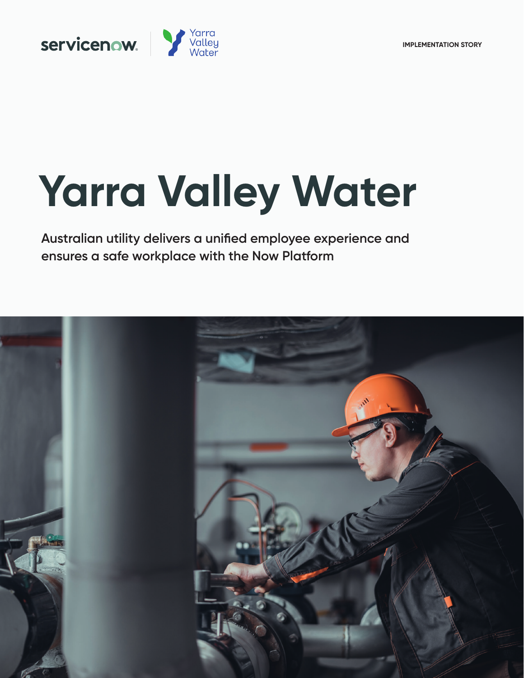

# **Yarra Valley Water**

**Australian utility delivers a unified employee experience and ensures a safe workplace with the Now Platform**

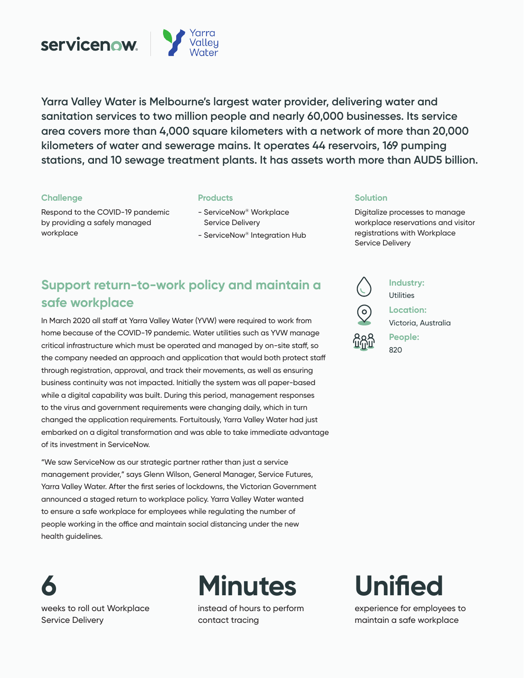

**Yarra Valley Water is Melbourne's largest water provider, delivering water and sanitation services to two million people and nearly 60,000 businesses. Its service area covers more than 4,000 square kilometers with a network of more than 20,000 kilometers of water and sewerage mains. It operates 44 reservoirs, 169 pumping stations, and 10 sewage treatment plants. It has assets worth more than AUD5 billion.** 

# **Challenge**

Respond to the COVID-19 pandemic by providing a safely managed workplace

# **Products**

- ServiceNow® Workplace Service Delivery
- ServiceNow® Integration Hub

# **Solution**

Digitalize processes to manage workplace reservations and visitor registrations with Workplace Service Delivery

# **Support return-to-work policy and maintain a safe workplace**

In March 2020 all staff at Yarra Valley Water (YVW) were required to work from home because of the COVID-19 pandemic. Water utilities such as YVW manage critical infrastructure which must be operated and managed by on-site staff, so the company needed an approach and application that would both protect staff through registration, approval, and track their movements, as well as ensuring business continuity was not impacted. Initially the system was all paper-based while a digital capability was built. During this period, management responses to the virus and government requirements were changing daily, which in turn changed the application requirements. Fortuitously, Yarra Valley Water had just embarked on a digital transformation and was able to take immediate advantage of its investment in ServiceNow.

"We saw ServiceNow as our strategic partner rather than just a service management provider," says Glenn Wilson, General Manager, Service Futures, Yarra Valley Water. After the first series of lockdowns, the Victorian Government announced a staged return to workplace policy. Yarra Valley Water wanted to ensure a safe workplace for employees while regulating the number of people working in the office and maintain social distancing under the new health guidelines.

**6** weeks to roll out Workplace Service Delivery



instead of hours to perform contact tracing



**Industry: Utilities** 

**Location:**  Victoria, Australia



# **Unified**

experience for employees to maintain a safe workplace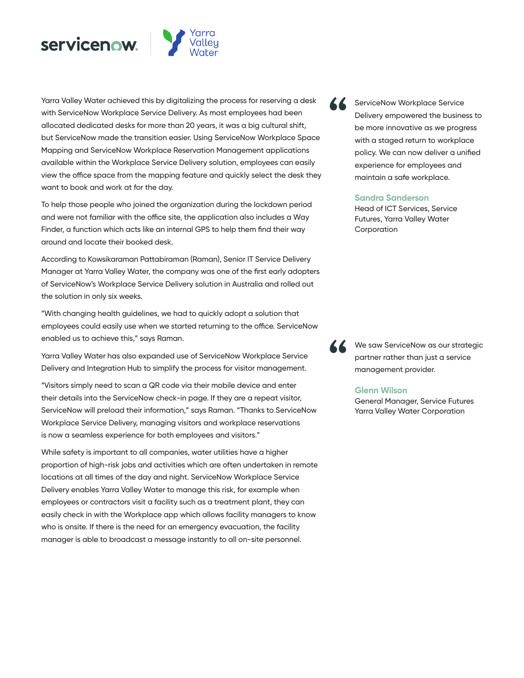



Yarra Valley Water achieved this by digitalizing the process for reserving a desk with ServiceNow Workplace Service Delivery. As most employees had been allocated dedicated desks for more than 20 years, it was a big cultural shift, but ServiceNow made the transition easier. Using ServiceNow Workplace Space Mapping and ServiceNow Workplace Reservation Management applications available within the Workplace Service Delivery solution, employees can easily view the office space from the mapping feature and quickly select the desk they want to book and work at for the day.

To help those people who joined the organization during the lockdown period and were not familiar with the office site, the application also includes a Way Finder, a function which acts like an internal GPS to help them find their way around and locate their booked desk.

According to Kowsikaraman Pattabiraman (Raman), Senior IT Service Delivery Manager at Yarra Valley Water, the company was one of the first early adopters of ServiceNow's Workplace Service Delivery solution in Australia and rolled out the solution in only six weeks.

"With changing health guidelines, we had to quickly adopt a solution that employees could easily use when we started returning to the office. ServiceNow enabled us to achieve this," says Raman.

Yarra Valley Water has also expanded use of ServiceNow Workplace Service Delivery and Integration Hub to simplify the process for visitor management.

"Visitors simply need to scan a QR code via their mobile device and enter their details into the ServiceNow check-in page. If they are a repeat visitor, ServiceNow will preload their information," says Raman. "Thanks to ServiceNow Workplace Service Delivery, managing visitors and workplace reservations is now a seamless experience for both employees and visitors."

While safety is important to all companies, water utilities have a higher proportion of high-risk jobs and activities which are often undertaken in remote locations at all times of the day and night. ServiceNow Workplace Service Delivery enables Yarra Valley Water to manage this risk, for example when employees or contractors visit a facility such as a treatment plant, they can easily check in with the Workplace app which allows facility managers to know who is onsite. If there is the need for an emergency evacuation, the facility manager is able to broadcast a message instantly to all on-site personnel.



ServiceNow Workplace Service Delivery empowered the business to be more innovative as we progress with a staged return to workplace policy. We can now deliver a unified experience for employees and maintain a safe workplace.

### **Sandra Sanderson**

Head of ICT Services, Service Futures, Yarra Valley Water Corporation



We saw ServiceNow as our strategic partner rather than just a service management provider.

#### **Glenn Wilson**

General Manager, Service Futures Yarra Valley Water Corporation